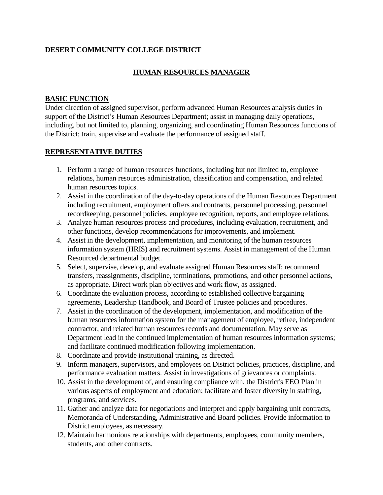# **DESERT COMMUNITY COLLEGE DISTRICT**

# **HUMAN RESOURCES MANAGER**

#### **BASIC FUNCTION**

Under direction of assigned supervisor, perform advanced Human Resources analysis duties in support of the District's Human Resources Department; assist in managing daily operations, including, but not limited to, planning, organizing, and coordinating Human Resources functions of the District; train, supervise and evaluate the performance of assigned staff.

#### **REPRESENTATIVE DUTIES**

- 1. Perform a range of human resources functions, including but not limited to, employee relations, human resources administration, classification and compensation, and related human resources topics.
- 2. Assist in the coordination of the day-to-day operations of the Human Resources Department including recruitment, employment offers and contracts, personnel processing, personnel recordkeeping, personnel policies, employee recognition, reports, and employee relations.
- 3. Analyze human resources process and procedures, including evaluation, recruitment, and other functions, develop recommendations for improvements, and implement.
- 4. Assist in the development, implementation, and monitoring of the human resources information system (HRIS) and recruitment systems. Assist in management of the Human Resourced departmental budget.
- 5. Select, supervise, develop, and evaluate assigned Human Resources staff; recommend transfers, reassignments, discipline, terminations, promotions, and other personnel actions, as appropriate. Direct work plan objectives and work flow, as assigned.
- 6. Coordinate the evaluation process, according to established collective bargaining agreements, Leadership Handbook, and Board of Trustee policies and procedures.
- 7. Assist in the coordination of the development, implementation, and modification of the human resources information system for the management of employee, retiree, independent contractor, and related human resources records and documentation. May serve as Department lead in the continued implementation of human resources information systems; and facilitate continued modification following implementation.
- 8. Coordinate and provide institutional training, as directed.
- 9. Inform managers, supervisors, and employees on District policies, practices, discipline, and performance evaluation matters. Assist in investigations of grievances or complaints.
- 10. Assist in the development of, and ensuring compliance with, the District's EEO Plan in various aspects of employment and education; facilitate and foster diversity in staffing, programs, and services.
- 11. Gather and analyze data for negotiations and interpret and apply bargaining unit contracts, Memoranda of Understanding, Administrative and Board policies. Provide information to District employees, as necessary.
- 12. Maintain harmonious relationships with departments, employees, community members, students, and other contracts.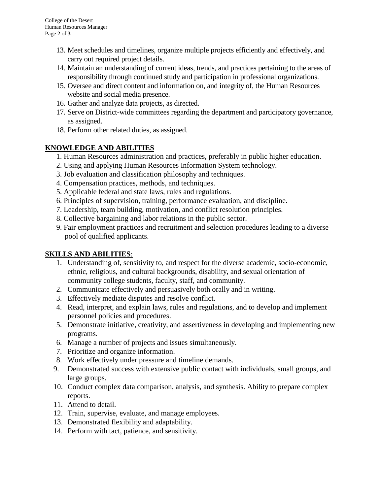- 13. Meet schedules and timelines, organize multiple projects efficiently and effectively, and carry out required project details.
- 14. Maintain an understanding of current ideas, trends, and practices pertaining to the areas of responsibility through continued study and participation in professional organizations.
- 15. Oversee and direct content and information on, and integrity of, the Human Resources website and social media presence.
- 16. Gather and analyze data projects, as directed.
- 17. Serve on District-wide committees regarding the department and participatory governance, as assigned.
- 18. Perform other related duties, as assigned.

### **KNOWLEDGE AND ABILITIES**

- 1. Human Resources administration and practices, preferably in public higher education.
- 2. Using and applying Human Resources Information System technology.
- 3. Job evaluation and classification philosophy and techniques.
- 4. Compensation practices, methods, and techniques.
- 5. Applicable federal and state laws, rules and regulations.
- 6. Principles of supervision, training, performance evaluation, and discipline.
- 7. Leadership, team building, motivation, and conflict resolution principles.
- 8. Collective bargaining and labor relations in the public sector.
- 9. Fair employment practices and recruitment and selection procedures leading to a diverse pool of qualified applicants.

### **SKILLS AND ABILITIES**:

- 1. Understanding of, sensitivity to, and respect for the diverse academic, socio-economic, ethnic, religious, and cultural backgrounds, disability, and sexual orientation of community college students, faculty, staff, and community.
- 2. Communicate effectively and persuasively both orally and in writing.
- 3. Effectively mediate disputes and resolve conflict.
- 4. Read, interpret, and explain laws, rules and regulations, and to develop and implement personnel policies and procedures.
- 5. Demonstrate initiative, creativity, and assertiveness in developing and implementing new programs.
- 6. Manage a number of projects and issues simultaneously.
- 7. Prioritize and organize information.
- 8. Work effectively under pressure and timeline demands.
- 9. Demonstrated success with extensive public contact with individuals, small groups, and large groups.
- 10. Conduct complex data comparison, analysis, and synthesis. Ability to prepare complex reports.
- 11. Attend to detail.
- 12. Train, supervise, evaluate, and manage employees.
- 13. Demonstrated flexibility and adaptability.
- 14. Perform with tact, patience, and sensitivity.